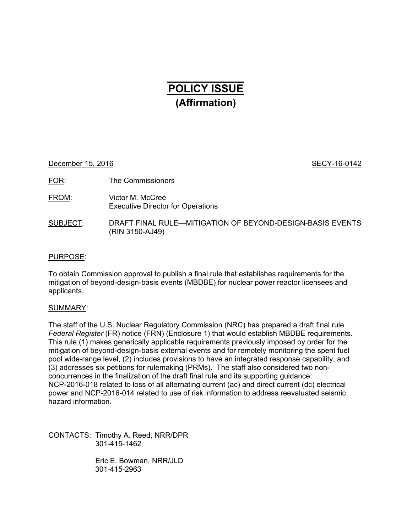# **POLICY ISSUE (Affirmation)**

December 15, 2016 **SECY-16-0142** 

FOR: The Commissioners

FROM: Victor M. McCree Executive Director for Operations

# SUBJECT: DRAFT FINAL RULE—MITIGATION OF BEYOND-DESIGN-BASIS EVENTS (RIN 3150-AJ49)

# PURPOSE:

To obtain Commission approval to publish a final rule that establishes requirements for the mitigation of beyond-design-basis events (MBDBE) for nuclear power reactor licensees and applicants.

## SUMMARY:

The staff of the U.S. Nuclear Regulatory Commission (NRC) has prepared a draft final rule *Federal Register* (FR) notice (FRN) (Enclosure 1) that would establish MBDBE requirements. This rule (1) makes generically applicable requirements previously imposed by order for the mitigation of beyond-design-basis external events and for remotely monitoring the spent fuel pool wide-range level, (2) includes provisions to have an integrated response capability, and (3) addresses six petitions for rulemaking (PRMs). The staff also considered two nonconcurrences in the finalization of the draft final rule and its supporting guidance: NCP-2016-018 related to loss of all alternating current (ac) and direct current (dc) electrical power and NCP-2016-014 related to use of risk information to address reevaluated seismic hazard information.

CONTACTS: Timothy A. Reed, NRR/DPR 301-415-1462

> Eric E. Bowman, NRR/JLD 301-415-2963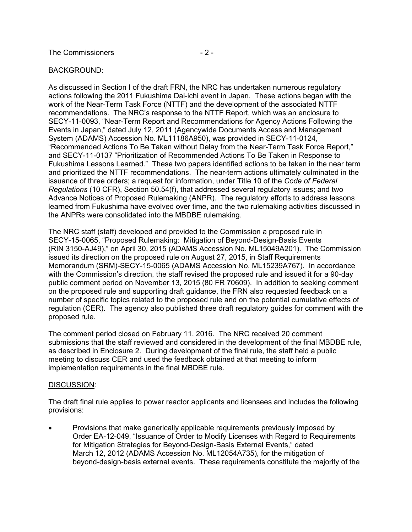## BACKGROUND:

As discussed in Section I of the draft FRN, the NRC has undertaken numerous regulatory actions following the 2011 Fukushima Dai-ichi event in Japan. These actions began with the work of the Near-Term Task Force (NTTF) and the development of the associated NTTF recommendations. The NRC's response to the NTTF Report, which was an enclosure to SECY-11-0093, "Near-Term Report and Recommendations for Agency Actions Following the Events in Japan," dated July 12, 2011 (Agencywide Documents Access and Management System (ADAMS) Accession No. ML11186A950), was provided in SECY-11-0124, "Recommended Actions To Be Taken without Delay from the Near-Term Task Force Report," and SECY-11-0137 "Prioritization of Recommended Actions To Be Taken in Response to Fukushima Lessons Learned." These two papers identified actions to be taken in the near term and prioritized the NTTF recommendations. The near-term actions ultimately culminated in the issuance of three orders; a request for information, under Title 10 of the *Code of Federal Regulations* (10 CFR), Section 50.54(f), that addressed several regulatory issues; and two Advance Notices of Proposed Rulemaking (ANPR). The regulatory efforts to address lessons learned from Fukushima have evolved over time, and the two rulemaking activities discussed in the ANPRs were consolidated into the MBDBE rulemaking.

The NRC staff (staff) developed and provided to the Commission a proposed rule in SECY-15-0065, "Proposed Rulemaking: Mitigation of Beyond-Design-Basis Events (RIN 3150-AJ49)," on April 30, 2015 (ADAMS Accession No. ML15049A201). The Commission issued its direction on the proposed rule on August 27, 2015, in Staff Requirements Memorandum (SRM)-SECY-15-0065 (ADAMS Accession No. ML15239A767). In accordance with the Commission's direction, the staff revised the proposed rule and issued it for a 90-day public comment period on November 13, 2015 (80 FR 70609). In addition to seeking comment on the proposed rule and supporting draft guidance, the FRN also requested feedback on a number of specific topics related to the proposed rule and on the potential cumulative effects of regulation (CER). The agency also published three draft regulatory guides for comment with the proposed rule.

The comment period closed on February 11, 2016. The NRC received 20 comment submissions that the staff reviewed and considered in the development of the final MBDBE rule, as described in Enclosure 2. During development of the final rule, the staff held a public meeting to discuss CER and used the feedback obtained at that meeting to inform implementation requirements in the final MBDBE rule.

## DISCUSSION:

The draft final rule applies to power reactor applicants and licensees and includes the following provisions:

• Provisions that make generically applicable requirements previously imposed by Order EA-12-049, "Issuance of Order to Modify Licenses with Regard to Requirements for Mitigation Strategies for Beyond-Design-Basis External Events," dated March 12, 2012 (ADAMS Accession No. ML12054A735), for the mitigation of beyond-design-basis external events. These requirements constitute the majority of the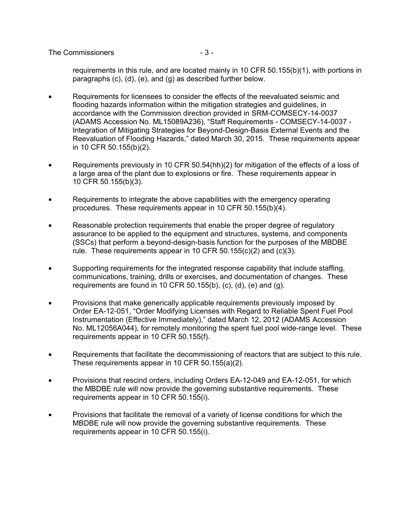#### The Commissioners  $-3-$

requirements in this rule, and are located mainly in 10 CFR 50.155(b)(1), with portions in paragraphs (c), (d), (e), and (g) as described further below.

- Requirements for licensees to consider the effects of the reevaluated seismic and flooding hazards information within the mitigation strategies and guidelines, in accordance with the Commission direction provided in SRM-COMSECY-14-0037 (ADAMS Accession No. ML15089A236), "Staff Requirements - COMSECY-14-0037 - Integration of Mitigating Strategies for Beyond-Design-Basis External Events and the Reevaluation of Flooding Hazards," dated March 30, 2015. These requirements appear in 10 CFR 50.155(b)(2).
- Requirements previously in 10 CFR 50.54(hh)(2) for mitigation of the effects of a loss of a large area of the plant due to explosions or fire. These requirements appear in 10 CFR 50.155(b)(3).
- Requirements to integrate the above capabilities with the emergency operating procedures. These requirements appear in 10 CFR 50.155(b)(4).
- Reasonable protection requirements that enable the proper degree of regulatory assurance to be applied to the equipment and structures, systems, and components (SSCs) that perform a beyond-design-basis function for the purposes of the MBDBE rule. These requirements appear in 10 CFR 50.155(c)(2) and (c)(3).
- Supporting requirements for the integrated response capability that include staffing, communications, training, drills or exercises, and documentation of changes. These requirements are found in 10 CFR 50.155(b), (c), (d), (e) and (g).
- Provisions that make generically applicable requirements previously imposed by Order EA-12-051, "Order Modifying Licenses with Regard to Reliable Spent Fuel Pool Instrumentation (Effective Immediately)," dated March 12, 2012 (ADAMS Accession No. ML12056A044), for remotely monitoring the spent fuel pool wide-range level. These requirements appear in 10 CFR 50.155(f).
- Requirements that facilitate the decommissioning of reactors that are subject to this rule. These requirements appear in 10 CFR 50.155(a)(2).
- Provisions that rescind orders, including Orders EA-12-049 and EA-12-051, for which the MBDBE rule will now provide the governing substantive requirements. These requirements appear in 10 CFR 50.155(i).
- Provisions that facilitate the removal of a variety of license conditions for which the MBDBE rule will now provide the governing substantive requirements. These requirements appear in 10 CFR 50.155(i).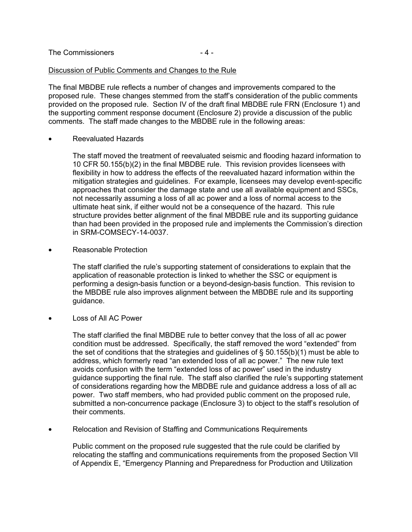| The Commissioners<br>-4- |  |
|--------------------------|--|
|--------------------------|--|

#### Discussion of Public Comments and Changes to the Rule

The final MBDBE rule reflects a number of changes and improvements compared to the proposed rule. These changes stemmed from the staff's consideration of the public comments provided on the proposed rule. Section IV of the draft final MBDBE rule FRN (Enclosure 1) and the supporting comment response document (Enclosure 2) provide a discussion of the public comments. The staff made changes to the MBDBE rule in the following areas:

• Reevaluated Hazards

The staff moved the treatment of reevaluated seismic and flooding hazard information to 10 CFR 50.155(b)(2) in the final MBDBE rule. This revision provides licensees with flexibility in how to address the effects of the reevaluated hazard information within the mitigation strategies and guidelines. For example, licensees may develop event-specific approaches that consider the damage state and use all available equipment and SSCs, not necessarily assuming a loss of all ac power and a loss of normal access to the ultimate heat sink, if either would not be a consequence of the hazard. This rule structure provides better alignment of the final MBDBE rule and its supporting guidance than had been provided in the proposed rule and implements the Commission's direction in SRM-COMSECY-14-0037.

• Reasonable Protection

The staff clarified the rule's supporting statement of considerations to explain that the application of reasonable protection is linked to whether the SSC or equipment is performing a design-basis function or a beyond-design-basis function. This revision to the MBDBE rule also improves alignment between the MBDBE rule and its supporting guidance.

• Loss of All AC Power

The staff clarified the final MBDBE rule to better convey that the loss of all ac power condition must be addressed. Specifically, the staff removed the word "extended" from the set of conditions that the strategies and guidelines of  $\S$  50.155(b)(1) must be able to address, which formerly read "an extended loss of all ac power." The new rule text avoids confusion with the term "extended loss of ac power" used in the industry guidance supporting the final rule. The staff also clarified the rule's supporting statement of considerations regarding how the MBDBE rule and guidance address a loss of all ac power. Two staff members, who had provided public comment on the proposed rule, submitted a non-concurrence package (Enclosure 3) to object to the staff's resolution of their comments.

• Relocation and Revision of Staffing and Communications Requirements

Public comment on the proposed rule suggested that the rule could be clarified by relocating the staffing and communications requirements from the proposed Section VII of Appendix E, "Emergency Planning and Preparedness for Production and Utilization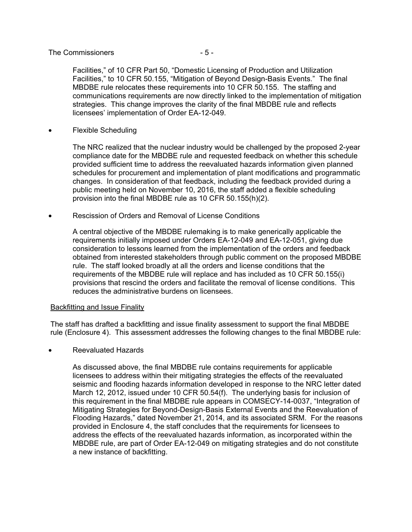#### The Commissioners  $-5-$

Facilities," of 10 CFR Part 50, "Domestic Licensing of Production and Utilization Facilities," to 10 CFR 50.155, "Mitigation of Beyond Design-Basis Events." The final MBDBE rule relocates these requirements into 10 CFR 50.155. The staffing and communications requirements are now directly linked to the implementation of mitigation strategies. This change improves the clarity of the final MBDBE rule and reflects licensees' implementation of Order EA-12-049.

• Flexible Scheduling

The NRC realized that the nuclear industry would be challenged by the proposed 2-year compliance date for the MBDBE rule and requested feedback on whether this schedule provided sufficient time to address the reevaluated hazards information given planned schedules for procurement and implementation of plant modifications and programmatic changes. In consideration of that feedback, including the feedback provided during a public meeting held on November 10, 2016, the staff added a flexible scheduling provision into the final MBDBE rule as 10 CFR 50.155(h)(2).

• Rescission of Orders and Removal of License Conditions

A central objective of the MBDBE rulemaking is to make generically applicable the requirements initially imposed under Orders EA-12-049 and EA-12-051, giving due consideration to lessons learned from the implementation of the orders and feedback obtained from interested stakeholders through public comment on the proposed MBDBE rule. The staff looked broadly at all the orders and license conditions that the requirements of the MBDBE rule will replace and has included as 10 CFR 50.155(i) provisions that rescind the orders and facilitate the removal of license conditions. This reduces the administrative burdens on licensees.

## Backfitting and Issue Finality

The staff has drafted a backfitting and issue finality assessment to support the final MBDBE rule (Enclosure 4). This assessment addresses the following changes to the final MBDBE rule:

• Reevaluated Hazards

As discussed above, the final MBDBE rule contains requirements for applicable licensees to address within their mitigating strategies the effects of the reevaluated seismic and flooding hazards information developed in response to the NRC letter dated March 12, 2012, issued under 10 CFR 50.54(f). The underlying basis for inclusion of this requirement in the final MBDBE rule appears in COMSECY-14-0037, "Integration of Mitigating Strategies for Beyond-Design-Basis External Events and the Reevaluation of Flooding Hazards," dated November 21, 2014, and its associated SRM. For the reasons provided in Enclosure 4, the staff concludes that the requirements for licensees to address the effects of the reevaluated hazards information, as incorporated within the MBDBE rule, are part of Order EA-12-049 on mitigating strategies and do not constitute a new instance of backfitting.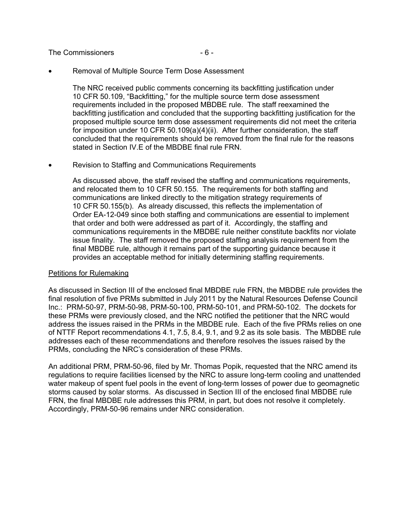The Commissioners  $-6 -$ 

• Removal of Multiple Source Term Dose Assessment

The NRC received public comments concerning its backfitting justification under 10 CFR 50.109, "Backfitting," for the multiple source term dose assessment requirements included in the proposed MBDBE rule. The staff reexamined the backfitting justification and concluded that the supporting backfitting justification for the proposed multiple source term dose assessment requirements did not meet the criteria for imposition under 10 CFR 50.109(a)(4)(ii). After further consideration, the staff concluded that the requirements should be removed from the final rule for the reasons stated in Section IV.E of the MBDBE final rule FRN.

• Revision to Staffing and Communications Requirements

As discussed above, the staff revised the staffing and communications requirements, and relocated them to 10 CFR 50.155. The requirements for both staffing and communications are linked directly to the mitigation strategy requirements of 10 CFR 50.155(b). As already discussed, this reflects the implementation of Order EA-12-049 since both staffing and communications are essential to implement that order and both were addressed as part of it. Accordingly, the staffing and communications requirements in the MBDBE rule neither constitute backfits nor violate issue finality. The staff removed the proposed staffing analysis requirement from the final MBDBE rule, although it remains part of the supporting guidance because it provides an acceptable method for initially determining staffing requirements.

## Petitions for Rulemaking

As discussed in Section III of the enclosed final MBDBE rule FRN, the MBDBE rule provides the final resolution of five PRMs submitted in July 2011 by the Natural Resources Defense Council Inc.: PRM-50-97, PRM-50-98, PRM-50-100, PRM-50-101, and PRM-50-102. The dockets for these PRMs were previously closed, and the NRC notified the petitioner that the NRC would address the issues raised in the PRMs in the MBDBE rule. Each of the five PRMs relies on one of NTTF Report recommendations 4.1, 7.5, 8.4, 9.1, and 9.2 as its sole basis. The MBDBE rule addresses each of these recommendations and therefore resolves the issues raised by the PRMs, concluding the NRC's consideration of these PRMs.

An additional PRM, PRM-50-96, filed by Mr. Thomas Popik, requested that the NRC amend its regulations to require facilities licensed by the NRC to assure long-term cooling and unattended water makeup of spent fuel pools in the event of long-term losses of power due to geomagnetic storms caused by solar storms. As discussed in Section III of the enclosed final MBDBE rule FRN, the final MBDBE rule addresses this PRM, in part, but does not resolve it completely. Accordingly, PRM-50-96 remains under NRC consideration.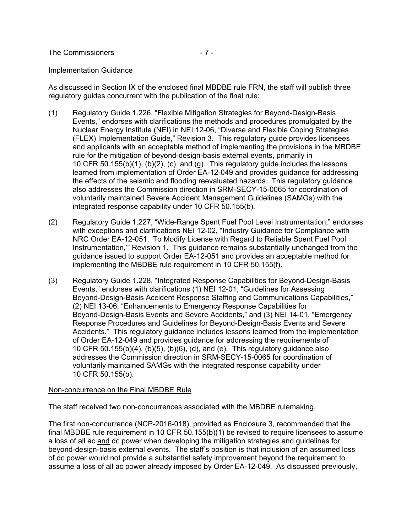#### Implementation Guidance

As discussed in Section IX of the enclosed final MBDBE rule FRN, the staff will publish three regulatory guides concurrent with the publication of the final rule:

- (1) Regulatory Guide 1.226, "Flexible Mitigation Strategies for Beyond-Design-Basis Events," endorses with clarifications the methods and procedures promulgated by the Nuclear Energy Institute (NEI) in NEI 12-06, "Diverse and Flexible Coping Strategies (FLEX) Implementation Guide," Revision 3. This regulatory guide provides licensees and applicants with an acceptable method of implementing the provisions in the MBDBE rule for the mitigation of beyond-design-basis external events, primarily in 10 CFR 50.155(b)(1), (b)(2), (c), and (g). This regulatory guide includes the lessons learned from implementation of Order EA-12-049 and provides guidance for addressing the effects of the seismic and flooding reevaluated hazards. This regulatory guidance also addresses the Commission direction in SRM-SECY-15-0065 for coordination of voluntarily maintained Severe Accident Management Guidelines (SAMGs) with the integrated response capability under 10 CFR 50.155(b).
- (2) Regulatory Guide 1.227, "Wide-Range Spent Fuel Pool Level Instrumentation," endorses with exceptions and clarifications NEI 12-02, "Industry Guidance for Compliance with NRC Order EA-12-051, 'To Modify License with Regard to Reliable Spent Fuel Pool Instrumentation,'" Revision 1. This guidance remains substantially unchanged from the guidance issued to support Order EA-12-051 and provides an acceptable method for implementing the MBDBE rule requirement in 10 CFR 50.155(f).
- (3) Regulatory Guide 1.228, "Integrated Response Capabilities for Beyond-Design-Basis Events," endorses with clarifications (1) NEI 12-01, "Guidelines for Assessing Beyond-Design-Basis Accident Response Staffing and Communications Capabilities," (2) NEI 13-06, "Enhancements to Emergency Response Capabilities for Beyond-Design-Basis Events and Severe Accidents," and (3) NEI 14-01, "Emergency Response Procedures and Guidelines for Beyond-Design-Basis Events and Severe Accidents." This regulatory guidance includes lessons learned from the implementation of Order EA-12-049 and provides guidance for addressing the requirements of 10 CFR 50.155(b)(4), (b)(5), (b)(6), (d), and (e). This regulatory guidance also addresses the Commission direction in SRM-SECY-15-0065 for coordination of voluntarily maintained SAMGs with the integrated response capability under 10 CFR 50.155(b).

## Non-concurrence on the Final MBDBE Rule

The staff received two non-concurrences associated with the MBDBE rulemaking.

The first non-concurrence (NCP-2016-018), provided as Enclosure 3, recommended that the final MBDBE rule requirement in 10 CFR 50.155(b)(1) be revised to require licensees to assume a loss of all ac and dc power when developing the mitigation strategies and guidelines for beyond-design-basis external events. The staff's position is that inclusion of an assumed loss of dc power would not provide a substantial safety improvement beyond the requirement to assume a loss of all ac power already imposed by Order EA-12-049. As discussed previously,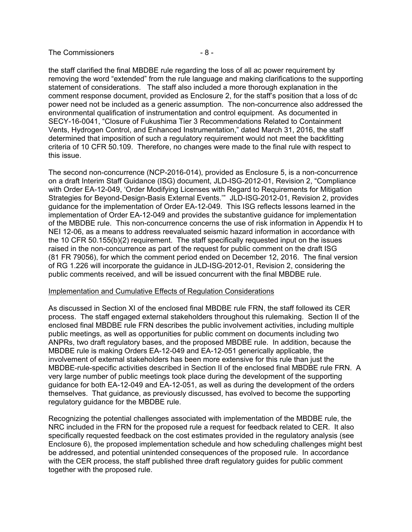#### The Commissioners  $-8-$

the staff clarified the final MBDBE rule regarding the loss of all ac power requirement by removing the word "extended" from the rule language and making clarifications to the supporting statement of considerations. The staff also included a more thorough explanation in the comment response document, provided as Enclosure 2, for the staff's position that a loss of dc power need not be included as a generic assumption. The non-concurrence also addressed the environmental qualification of instrumentation and control equipment. As documented in SECY-16-0041, "Closure of Fukushima Tier 3 Recommendations Related to Containment Vents, Hydrogen Control, and Enhanced Instrumentation," dated March 31, 2016, the staff determined that imposition of such a regulatory requirement would not meet the backfitting criteria of 10 CFR 50.109. Therefore, no changes were made to the final rule with respect to this issue.

The second non-concurrence (NCP-2016-014), provided as Enclosure 5, is a non-concurrence on a draft Interim Staff Guidance (ISG) document, JLD-ISG-2012-01, Revision 2, "Compliance with Order EA-12-049, 'Order Modifying Licenses with Regard to Requirements for Mitigation Strategies for Beyond-Design-Basis External Events.'" JLD-ISG-2012-01, Revision 2, provides guidance for the implementation of Order EA-12-049. This ISG reflects lessons learned in the implementation of Order EA-12-049 and provides the substantive guidance for implementation of the MBDBE rule. This non-concurrence concerns the use of risk information in Appendix H to NEI 12-06, as a means to address reevaluated seismic hazard information in accordance with the 10 CFR 50.155(b)(2) requirement. The staff specifically requested input on the issues raised in the non-concurrence as part of the request for public comment on the draft ISG (81 FR 79056), for which the comment period ended on December 12, 2016. The final version of RG 1.226 will incorporate the guidance in JLD-ISG-2012-01, Revision 2, considering the public comments received, and will be issued concurrent with the final MBDBE rule.

## Implementation and Cumulative Effects of Regulation Considerations

As discussed in Section XI of the enclosed final MBDBE rule FRN, the staff followed its CER process. The staff engaged external stakeholders throughout this rulemaking. Section II of the enclosed final MBDBE rule FRN describes the public involvement activities, including multiple public meetings, as well as opportunities for public comment on documents including two ANPRs, two draft regulatory bases, and the proposed MBDBE rule. In addition, because the MBDBE rule is making Orders EA-12-049 and EA-12-051 generically applicable, the involvement of external stakeholders has been more extensive for this rule than just the MBDBE-rule-specific activities described in Section II of the enclosed final MBDBE rule FRN. A very large number of public meetings took place during the development of the supporting guidance for both EA-12-049 and EA-12-051, as well as during the development of the orders themselves. That guidance, as previously discussed, has evolved to become the supporting regulatory guidance for the MBDBE rule.

Recognizing the potential challenges associated with implementation of the MBDBE rule, the NRC included in the FRN for the proposed rule a request for feedback related to CER. It also specifically requested feedback on the cost estimates provided in the regulatory analysis (see Enclosure 6), the proposed implementation schedule and how scheduling challenges might best be addressed, and potential unintended consequences of the proposed rule. In accordance with the CER process, the staff published three draft regulatory guides for public comment together with the proposed rule.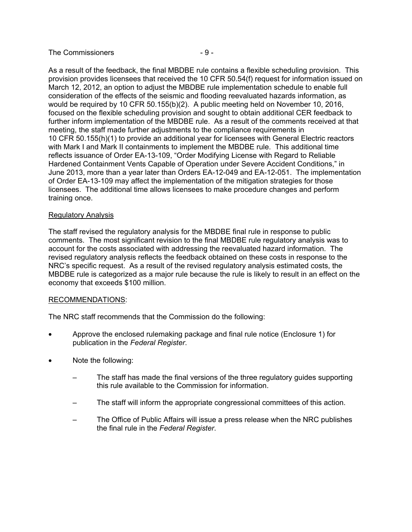## The Commissioners  $-9-$

As a result of the feedback, the final MBDBE rule contains a flexible scheduling provision. This provision provides licensees that received the 10 CFR 50.54(f) request for information issued on March 12, 2012, an option to adjust the MBDBE rule implementation schedule to enable full consideration of the effects of the seismic and flooding reevaluated hazards information, as would be required by 10 CFR 50.155(b)(2). A public meeting held on November 10, 2016, focused on the flexible scheduling provision and sought to obtain additional CER feedback to further inform implementation of the MBDBE rule. As a result of the comments received at that meeting, the staff made further adjustments to the compliance requirements in 10 CFR 50.155(h)(1) to provide an additional year for licensees with General Electric reactors with Mark I and Mark II containments to implement the MBDBE rule. This additional time reflects issuance of Order EA-13-109, "Order Modifying License with Regard to Reliable Hardened Containment Vents Capable of Operation under Severe Accident Conditions," in June 2013, more than a year later than Orders EA-12-049 and EA-12-051. The implementation of Order EA-13-109 may affect the implementation of the mitigation strategies for those licensees. The additional time allows licensees to make procedure changes and perform training once.

## Regulatory Analysis

The staff revised the regulatory analysis for the MBDBE final rule in response to public comments. The most significant revision to the final MBDBE rule regulatory analysis was to account for the costs associated with addressing the reevaluated hazard information. The revised regulatory analysis reflects the feedback obtained on these costs in response to the NRC's specific request. As a result of the revised regulatory analysis estimated costs, the MBDBE rule is categorized as a major rule because the rule is likely to result in an effect on the economy that exceeds \$100 million.

## RECOMMENDATIONS:

The NRC staff recommends that the Commission do the following:

- Approve the enclosed rulemaking package and final rule notice (Enclosure 1) for publication in the *Federal Register*.
- Note the following:
	- The staff has made the final versions of the three regulatory guides supporting this rule available to the Commission for information.
	- The staff will inform the appropriate congressional committees of this action.
	- The Office of Public Affairs will issue a press release when the NRC publishes the final rule in the *Federal Register*.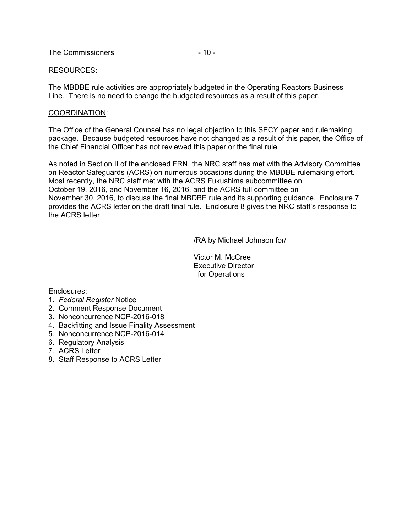The Commissioners  $-10 -$ 

## RESOURCES:

The MBDBE rule activities are appropriately budgeted in the Operating Reactors Business Line. There is no need to change the budgeted resources as a result of this paper.

## COORDINATION:

The Office of the General Counsel has no legal objection to this SECY paper and rulemaking package. Because budgeted resources have not changed as a result of this paper, the Office of the Chief Financial Officer has not reviewed this paper or the final rule.

As noted in Section II of the enclosed FRN, the NRC staff has met with the Advisory Committee on Reactor Safeguards (ACRS) on numerous occasions during the MBDBE rulemaking effort. Most recently, the NRC staff met with the ACRS Fukushima subcommittee on October 19, 2016, and November 16, 2016, and the ACRS full committee on November 30, 2016, to discuss the final MBDBE rule and its supporting guidance. Enclosure 7 provides the ACRS letter on the draft final rule. Enclosure 8 gives the NRC staff's response to the ACRS letter.

/RA by Michael Johnson for/

 Victor M. McCree Executive Director for Operations

Enclosures:

- 1. *Federal Register* Notice
- 2. Comment Response Document
- 3. Nonconcurrence NCP-2016-018
- 4. Backfitting and Issue Finality Assessment
- 5. Nonconcurrence NCP-2016-014
- 6. Regulatory Analysis
- 7. ACRS Letter
- 8. Staff Response to ACRS Letter